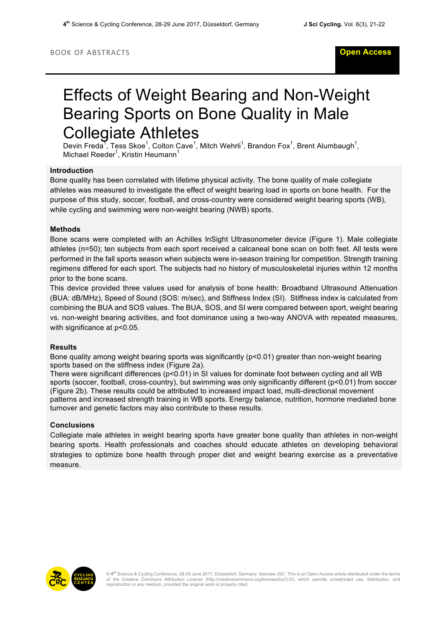# Effects of Weight Bearing and Non-Weight Bearing Sports on Bone Quality in Male Collegiate Athletes

Devin Freda<sup>T</sup>, Tess Skoe<sup>1</sup>, Colton Cave<sup>1</sup>, Mitch Wehrli<sup>1</sup>, Brandon Fox<sup>1</sup>, Brent Alumbaugh<sup>1</sup>, Michael Reeder<sup>1</sup>, Kristin Heumann<sup>1</sup>

### **Introduction**

Bone quality has been correlated with lifetime physical activity. The bone quality of male collegiate athletes was measured to investigate the effect of weight bearing load in sports on bone health. For the purpose of this study, soccer, football, and cross-country were considered weight bearing sports (WB), while cycling and swimming were non-weight bearing (NWB) sports.

### **Methods**

Bone scans were completed with an Achilles InSight Ultrasonometer device (Figure 1). Male collegiate athletes (n=50); ten subjects from each sport received a calcaneal bone scan on both feet. All tests were performed in the fall sports season when subjects were in-season training for competition. Strength training regimens differed for each sport. The subjects had no history of musculoskeletal injuries within 12 months prior to the bone scans.

This device provided three values used for analysis of bone health: Broadband Ultrasound Attenuation (BUA: dB/MHz), Speed of Sound (SOS: m/sec), and Stiffness Index (SI). Stiffness index is calculated from combining the BUA and SOS values. The BUA, SOS, and SI were compared between sport, weight bearing vs. non-weight bearing activities, and foot dominance using a two-way ANOVA with repeated measures, with significance at p<0.05.

## **Results**

Bone quality among weight bearing sports was significantly (p<0.01) greater than non-weight bearing sports based on the stiffness index (Figure 2a).

There were significant differences (p<0.01) in SI values for dominate foot between cycling and all WB sports (soccer, football, cross-country), but swimming was only significantly different (p<0.01) from soccer (Figure 2b). These results could be attributed to increased impact load, multi-directional movement patterns and increased strength training in WB sports. Energy balance, nutrition, hormone mediated bone turnover and genetic factors may also contribute to these results.

#### **Conclusions**

Collegiate male athletes in weight bearing sports have greater bone quality than athletes in non-weight bearing sports. Health professionals and coaches should educate athletes on developing behavioral strategies to optimize bone health through proper diet and weight bearing exercise as a preventative measure.